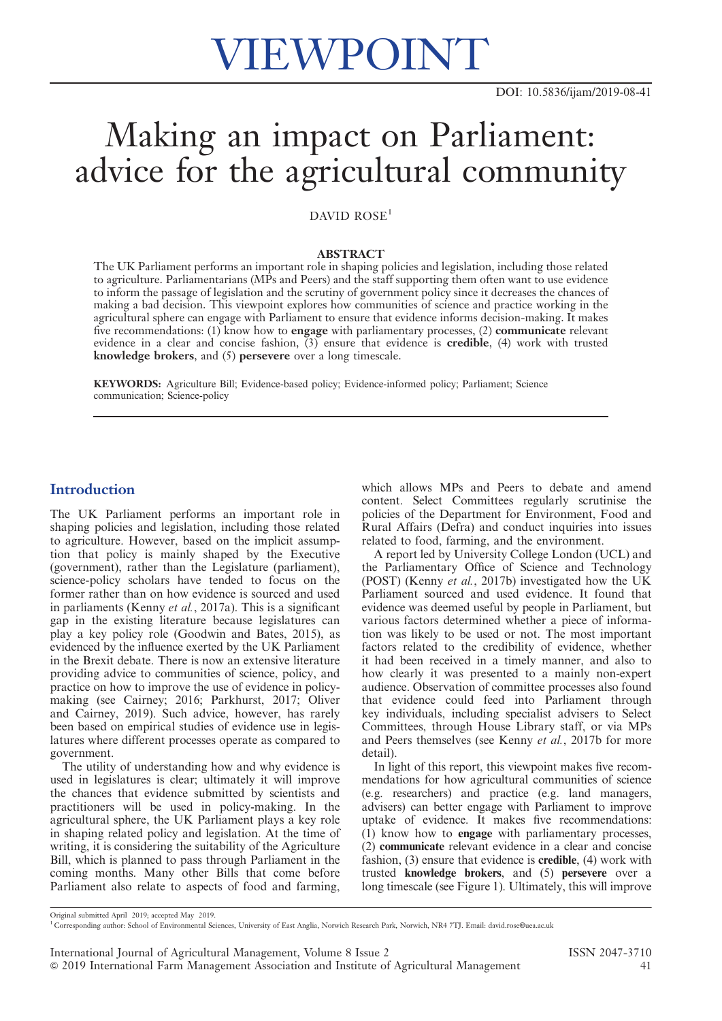# VIEWPOINT

## Making an impact on Parliament: advice for the agricultural community

#### DAVID ROSE<sup>1</sup>

#### ABSTRACT

The UK Parliament performs an important role in shaping policies and legislation, including those related to agriculture. Parliamentarians (MPs and Peers) and the staff supporting them often want to use evidence to inform the passage of legislation and the scrutiny of government policy since it decreases the chances of making a bad decision. This viewpoint explores how communities of science and practice working in the agricultural sphere can engage with Parliament to ensure that evidence informs decision-making. It makes five recommendations: (1) know how to engage with parliamentary processes, (2) communicate relevant evidence in a clear and concise fashion, (3) ensure that evidence is credible, (4) work with trusted knowledge brokers, and (5) persevere over a long timescale.

KEYWORDS: Agriculture Bill; Evidence-based policy; Evidence-informed policy; Parliament; Science communication; Science-policy

#### **Introduction**

The UK Parliament performs an important role in shaping policies and legislation, including those related to agriculture. However, based on the implicit assumption that policy is mainly shaped by the Executive (government), rather than the Legislature (parliament), science-policy scholars have tended to focus on the former rather than on how evidence is sourced and used in parliaments (Kenny et al., 2017a). This is a significant gap in the existing literature because legislatures can play a key policy role (Goodwin and Bates, 2015), as evidenced by the influence exerted by the UK Parliament in the Brexit debate. There is now an extensive literature providing advice to communities of science, policy, and practice on how to improve the use of evidence in policymaking (see Cairney; 2016; Parkhurst, 2017; Oliver and Cairney, 2019). Such advice, however, has rarely been based on empirical studies of evidence use in legislatures where different processes operate as compared to government.

The utility of understanding how and why evidence is used in legislatures is clear; ultimately it will improve the chances that evidence submitted by scientists and practitioners will be used in policy-making. In the agricultural sphere, the UK Parliament plays a key role in shaping related policy and legislation. At the time of writing, it is considering the suitability of the Agriculture Bill, which is planned to pass through Parliament in the coming months. Many other Bills that come before Parliament also relate to aspects of food and farming,

which allows MPs and Peers to debate and amend content. Select Committees regularly scrutinise the policies of the Department for Environment, Food and Rural Affairs (Defra) and conduct inquiries into issues related to food, farming, and the environment.

A report led by University College London (UCL) and the Parliamentary Office of Science and Technology (POST) (Kenny et al., 2017b) investigated how the UK Parliament sourced and used evidence. It found that evidence was deemed useful by people in Parliament, but various factors determined whether a piece of information was likely to be used or not. The most important factors related to the credibility of evidence, whether it had been received in a timely manner, and also to how clearly it was presented to a mainly non-expert audience. Observation of committee processes also found that evidence could feed into Parliament through key individuals, including specialist advisers to Select Committees, through House Library staff, or via MPs and Peers themselves (see Kenny et al., 2017b for more detail).

In light of this report, this viewpoint makes five recommendations for how agricultural communities of science (e.g. researchers) and practice (e.g. land managers, advisers) can better engage with Parliament to improve uptake of evidence. It makes five recommendations: (1) know how to engage with parliamentary processes, (2) communicate relevant evidence in a clear and concise fashion, (3) ensure that evidence is credible, (4) work with trusted knowledge brokers, and (5) persevere over a long timescale (see Figure 1). Ultimately, this will improve

Original submitted April 2019; accepted May 2019.

<sup>1</sup> Corresponding author: School of Environmental Sciences, University of East Anglia, Norwich Research Park, Norwich, NR4 7TJ. Email: david.rose@uea.ac.uk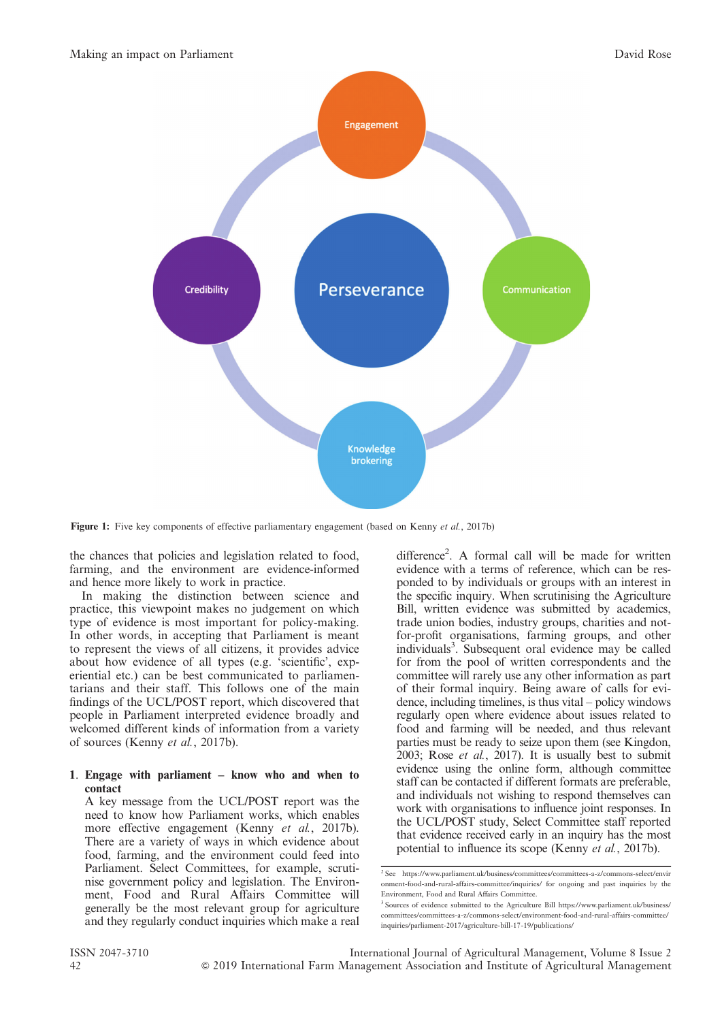

Figure 1: Five key components of effective parliamentary engagement (based on Kenny et al., 2017b)

the chances that policies and legislation related to food, farming, and the environment are evidence-informed and hence more likely to work in practice.

In making the distinction between science and practice, this viewpoint makes no judgement on which type of evidence is most important for policy-making. In other words, in accepting that Parliament is meant to represent the views of all citizens, it provides advice about how evidence of all types (e.g. 'scientific', experiential etc.) can be best communicated to parliamentarians and their staff. This follows one of the main findings of the UCL/POST report, which discovered that people in Parliament interpreted evidence broadly and welcomed different kinds of information from a variety of sources (Kenny et al., 2017b).

#### 1. Engage with parliament – know who and when to contact

A key message from the UCL/POST report was the need to know how Parliament works, which enables more effective engagement (Kenny et al., 2017b). There are a variety of ways in which evidence about food, farming, and the environment could feed into Parliament. Select Committees, for example, scrutinise government policy and legislation. The Environment, Food and Rural Affairs Committee will generally be the most relevant group for agriculture and they regularly conduct inquiries which make a real

difference<sup>2</sup>. A formal call will be made for written evidence with a terms of reference, which can be responded to by individuals or groups with an interest in the specific inquiry. When scrutinising the Agriculture Bill, written evidence was submitted by academics, trade union bodies, industry groups, charities and notfor-profit organisations, farming groups, and other individuals<sup>3</sup>. Subsequent oral evidence may be called for from the pool of written correspondents and the committee will rarely use any other information as part of their formal inquiry. Being aware of calls for evidence, including timelines, is thus vital – policy windows regularly open where evidence about issues related to food and farming will be needed, and thus relevant parties must be ready to seize upon them (see Kingdon, 2003; Rose et al., 2017). It is usually best to submit evidence using the online form, although committee staff can be contacted if different formats are preferable, and individuals not wishing to respond themselves can work with organisations to influence joint responses. In the UCL/POST study, Select Committee staff reported that evidence received early in an inquiry has the most potential to influence its scope (Kenny et al., 2017b).

<sup>2</sup> See https://www.parliament.uk/business/committees/committees-a-z/commons-select/envir onment-food-and-rural-affairs-committee/inquiries/ for ongoing and past inquiries by the Environment, Food and Rural Affairs Committee.

<sup>&</sup>lt;sup>3</sup> Sources of evidence submitted to the Agriculture Bill https://www.parliament.uk/business/ committees/committees-a-z/commons-select/environment-food-and-rural-affairs-committee/ inquiries/parliament-2017/agriculture-bill-17-19/publications/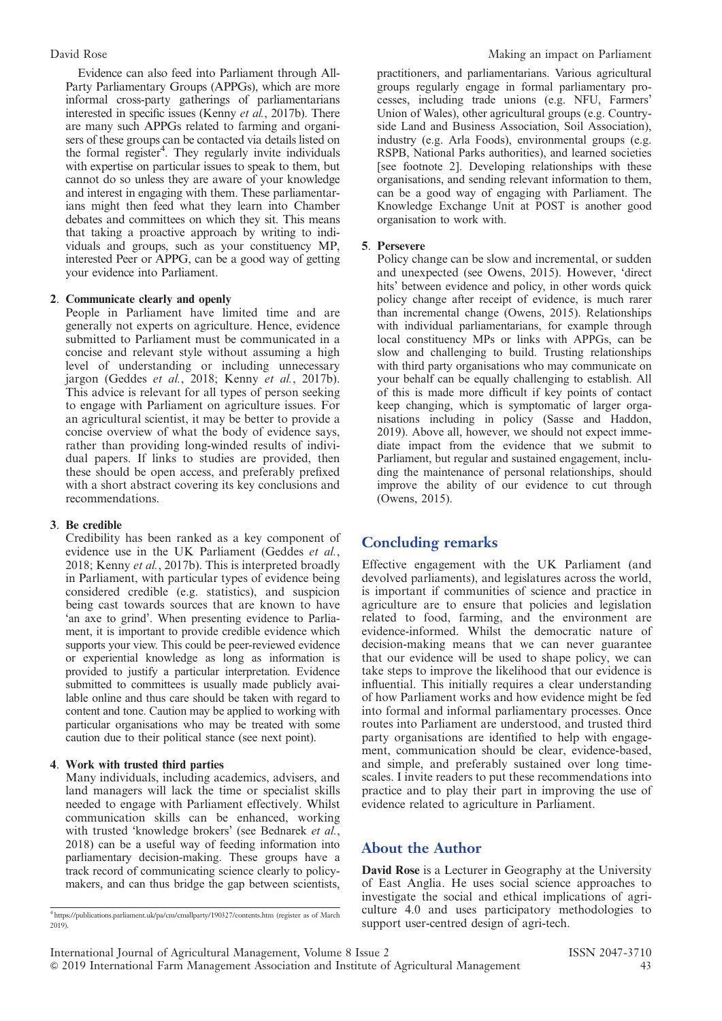Evidence can also feed into Parliament through All-Party Parliamentary Groups (APPGs), which are more informal cross-party gatherings of parliamentarians interested in specific issues (Kenny et al., 2017b). There are many such APPGs related to farming and organisers of these groups can be contacted via details listed on the formal register<sup>4</sup>. They regularly invite individuals with expertise on particular issues to speak to them, but cannot do so unless they are aware of your knowledge and interest in engaging with them. These parliamentarians might then feed what they learn into Chamber debates and committees on which they sit. This means that taking a proactive approach by writing to individuals and groups, such as your constituency MP, interested Peer or APPG, can be a good way of getting your evidence into Parliament.

#### 2. Communicate clearly and openly

People in Parliament have limited time and are generally not experts on agriculture. Hence, evidence submitted to Parliament must be communicated in a concise and relevant style without assuming a high level of understanding or including unnecessary jargon (Geddes et al., 2018; Kenny et al., 2017b). This advice is relevant for all types of person seeking to engage with Parliament on agriculture issues. For an agricultural scientist, it may be better to provide a concise overview of what the body of evidence says, rather than providing long-winded results of individual papers. If links to studies are provided, then these should be open access, and preferably prefixed with a short abstract covering its key conclusions and recommendations.

#### 3. Be credible

Credibility has been ranked as a key component of evidence use in the UK Parliament (Geddes et al., 2018; Kenny et al., 2017b). This is interpreted broadly in Parliament, with particular types of evidence being considered credible (e.g. statistics), and suspicion being cast towards sources that are known to have 'an axe to grind'. When presenting evidence to Parliament, it is important to provide credible evidence which supports your view. This could be peer-reviewed evidence or experiential knowledge as long as information is provided to justify a particular interpretation. Evidence submitted to committees is usually made publicly available online and thus care should be taken with regard to content and tone. Caution may be applied to working with particular organisations who may be treated with some caution due to their political stance (see next point).

#### 4. Work with trusted third parties

Many individuals, including academics, advisers, and land managers will lack the time or specialist skills needed to engage with Parliament effectively. Whilst communication skills can be enhanced, working with trusted 'knowledge brokers' (see Bednarek et al., 2018) can be a useful way of feeding information into parliamentary decision-making. These groups have a track record of communicating science clearly to policymakers, and can thus bridge the gap between scientists,

practitioners, and parliamentarians. Various agricultural groups regularly engage in formal parliamentary processes, including trade unions (e.g. NFU, Farmers' Union of Wales), other agricultural groups (e.g. Countryside Land and Business Association, Soil Association), industry (e.g. Arla Foods), environmental groups (e.g. RSPB, National Parks authorities), and learned societies [see footnote 2]. Developing relationships with these organisations, and sending relevant information to them, can be a good way of engaging with Parliament. The Knowledge Exchange Unit at POST is another good organisation to work with.

#### 5. Persevere

Policy change can be slow and incremental, or sudden and unexpected (see Owens, 2015). However, 'direct hits' between evidence and policy, in other words quick policy change after receipt of evidence, is much rarer than incremental change (Owens, 2015). Relationships with individual parliamentarians, for example through local constituency MPs or links with APPGs, can be slow and challenging to build. Trusting relationships with third party organisations who may communicate on your behalf can be equally challenging to establish. All of this is made more difficult if key points of contact keep changing, which is symptomatic of larger organisations including in policy (Sasse and Haddon, 2019). Above all, however, we should not expect immediate impact from the evidence that we submit to Parliament, but regular and sustained engagement, including the maintenance of personal relationships, should improve the ability of our evidence to cut through (Owens, 2015).

### Concluding remarks

Effective engagement with the UK Parliament (and devolved parliaments), and legislatures across the world, is important if communities of science and practice in agriculture are to ensure that policies and legislation related to food, farming, and the environment are evidence-informed. Whilst the democratic nature of decision-making means that we can never guarantee that our evidence will be used to shape policy, we can take steps to improve the likelihood that our evidence is influential. This initially requires a clear understanding of how Parliament works and how evidence might be fed into formal and informal parliamentary processes. Once routes into Parliament are understood, and trusted third party organisations are identified to help with engagement, communication should be clear, evidence-based, and simple, and preferably sustained over long timescales. I invite readers to put these recommendations into practice and to play their part in improving the use of evidence related to agriculture in Parliament.

#### About the Author

David Rose is a Lecturer in Geography at the University of East Anglia. He uses social science approaches to investigate the social and ethical implications of agriculture 4.0 and uses participatory methodologies to support user-centred design of agri-tech.

<sup>4</sup> https://publications.parliament.uk/pa/cm/cmallparty/190327/contents.htm (register as of March 2019).